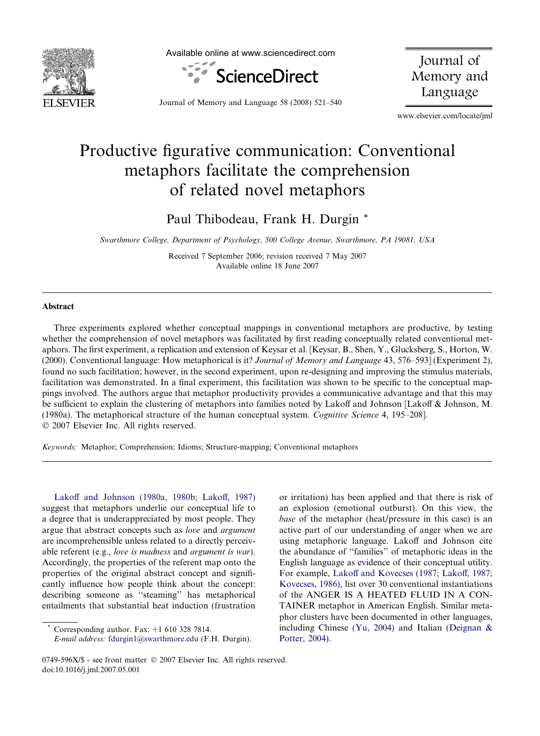

Available online at www.sciencedirect.com



Journal of Memory and Language

Journal of Memory and Language 58 (2008) 521–540

www.elsevier.com/locate/jml

# Productive figurative communication: Conventional metaphors facilitate the comprehension of related novel metaphors

Paul Thibodeau, Frank H. Durgin \*

Swarthmore College, Department of Psychology, 500 College Avenue, Swarthmore, PA 19081, USA

Received 7 September 2006; revision received 7 May 2007 Available online 18 June 2007

# Abstract

Three experiments explored whether conceptual mappings in conventional metaphors are productive, by testing whether the comprehension of novel metaphors was facilitated by first reading conceptually related conventional metaphors. The first experiment, a replication and extension of Keysar et al. [Keysar, B., Shen, Y., Glucksberg, S., Horton, W. (2000). Conventional language: How metaphorical is it? Journal of Memory and Language 43, 576–593] (Experiment 2), found no such facilitation; however, in the second experiment, upon re-designing and improving the stimulus materials, facilitation was demonstrated. In a final experiment, this facilitation was shown to be specific to the conceptual mappings involved. The authors argue that metaphor productivity provides a communicative advantage and that this may be sufficient to explain the clustering of metaphors into families noted by Lakoff and Johnson [Lakoff & Johnson, M. (1980a). The metaphorical structure of the human conceptual system. Cognitive Science 4, 195–208].  $© 2007 Elsevier Inc. All rights reserved.$ 

Keywords: Metaphor; Comprehension; Idioms; Structure-mapping; Conventional metaphors

Lakoff [and Johnson \(1980a, 1980b; Lako](#page-19-0)ff, 1987) suggest that metaphors underlie our conceptual life to a degree that is underappreciated by most people. They argue that abstract concepts such as love and argument are incomprehensible unless related to a directly perceivable referent (e.g., love is madness and argument is war). Accordingly, the properties of the referent map onto the properties of the original abstract concept and significantly influence how people think about the concept: describing someone as ''steaming'' has metaphorical entailments that substantial heat induction (frustration

Corresponding author. Fax:  $+1$  610 328 7814.

E-mail address: [fdurgin1@swarthmore.edu](mailto:fdurgin1@swarthmore.edu) (F.H. Durgin).

or irritation) has been applied and that there is risk of an explosion (emotional outburst). On this view, the base of the metaphor (heat/pressure in this case) is an active part of our understanding of anger when we are using metaphoric language. Lakoff and Johnson cite the abundance of ''families'' of metaphoric ideas in the English language as evidence of their conceptual utility. For example, Lakoff [and Kovecses \(1987; Lako](#page-19-0)ff, 1987; [Kovecses, 1986\)](#page-19-0), list over 30 conventional instantiations of the ANGER IS A HEATED FLUID IN A CON-TAINER metaphor in American English. Similar metaphor clusters have been documented in other languages, including Chinese ([Yu, 2004\)](#page-19-0) and Italian [\(Deignan &](#page-18-0) [Potter, 2004\)](#page-18-0).

<sup>0749-596</sup>X/\$ - see front matter © 2007 Elsevier Inc. All rights reserved. doi:10.1016/j.jml.2007.05.001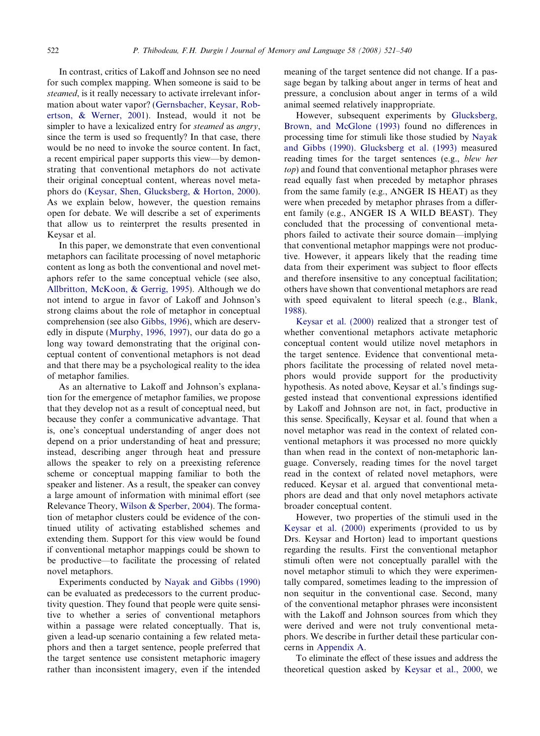In contrast, critics of Lakoff and Johnson see no need for such complex mapping. When someone is said to be steamed, is it really necessary to activate irrelevant information about water vapor? ([Gernsbacher, Keysar, Rob](#page-19-0)[ertson, & Werner, 2001\)](#page-19-0). Instead, would it not be simpler to have a lexicalized entry for *steamed* as *angry*, since the term is used so frequently? In that case, there would be no need to invoke the source content. In fact, a recent empirical paper supports this view—by demonstrating that conventional metaphors do not activate their original conceptual content, whereas novel metaphors do [\(Keysar, Shen, Glucksberg, & Horton, 2000](#page-19-0)). As we explain below, however, the question remains open for debate. We will describe a set of experiments that allow us to reinterpret the results presented in Keysar et al.

In this paper, we demonstrate that even conventional metaphors can facilitate processing of novel metaphoric content as long as both the conventional and novel metaphors refer to the same conceptual vehicle (see also, [Allbritton, McKoon, & Gerrig, 1995\)](#page-18-0). Although we do not intend to argue in favor of Lakoff and Johnson's strong claims about the role of metaphor in conceptual comprehension (see also [Gibbs, 1996](#page-19-0)), which are deservedly in dispute [\(Murphy, 1996, 1997](#page-19-0)), our data do go a long way toward demonstrating that the original conceptual content of conventional metaphors is not dead and that there may be a psychological reality to the idea of metaphor families.

As an alternative to Lakoff and Johnson's explanation for the emergence of metaphor families, we propose that they develop not as a result of conceptual need, but because they confer a communicative advantage. That is, one's conceptual understanding of anger does not depend on a prior understanding of heat and pressure; instead, describing anger through heat and pressure allows the speaker to rely on a preexisting reference scheme or conceptual mapping familiar to both the speaker and listener. As a result, the speaker can convey a large amount of information with minimal effort (see Relevance Theory, [Wilson & Sperber, 2004\)](#page-19-0). The formation of metaphor clusters could be evidence of the continued utility of activating established schemes and extending them. Support for this view would be found if conventional metaphor mappings could be shown to be productive—to facilitate the processing of related novel metaphors.

Experiments conducted by [Nayak and Gibbs \(1990\)](#page-19-0) can be evaluated as predecessors to the current productivity question. They found that people were quite sensitive to whether a series of conventional metaphors within a passage were related conceptually. That is, given a lead-up scenario containing a few related metaphors and then a target sentence, people preferred that the target sentence use consistent metaphoric imagery rather than inconsistent imagery, even if the intended meaning of the target sentence did not change. If a passage began by talking about anger in terms of heat and pressure, a conclusion about anger in terms of a wild animal seemed relatively inappropriate.

However, subsequent experiments by [Glucksberg,](#page-19-0) [Brown, and McGlone \(1993\)](#page-19-0) found no differences in processing time for stimuli like those studied by [Nayak](#page-19-0) [and Gibbs \(1990\).](#page-19-0) [Glucksberg et al. \(1993\)](#page-19-0) measured reading times for the target sentences (e.g., blew her top) and found that conventional metaphor phrases were read equally fast when preceded by metaphor phrases from the same family (e.g., ANGER IS HEAT) as they were when preceded by metaphor phrases from a different family (e.g., ANGER IS A WILD BEAST). They concluded that the processing of conventional metaphors failed to activate their source domain—implying that conventional metaphor mappings were not productive. However, it appears likely that the reading time data from their experiment was subject to floor effects and therefore insensitive to any conceptual facilitation; others have shown that conventional metaphors are read with speed equivalent to literal speech (e.g., [Blank,](#page-18-0) [1988](#page-18-0)).

[Keysar et al. \(2000\)](#page-19-0) realized that a stronger test of whether conventional metaphors activate metaphoric conceptual content would utilize novel metaphors in the target sentence. Evidence that conventional metaphors facilitate the processing of related novel metaphors would provide support for the productivity hypothesis. As noted above, Keysar et al.'s findings suggested instead that conventional expressions identified by Lakoff and Johnson are not, in fact, productive in this sense. Specifically, Keysar et al. found that when a novel metaphor was read in the context of related conventional metaphors it was processed no more quickly than when read in the context of non-metaphoric language. Conversely, reading times for the novel target read in the context of related novel metaphors, were reduced. Keysar et al. argued that conventional metaphors are dead and that only novel metaphors activate broader conceptual content.

However, two properties of the stimuli used in the [Keysar et al. \(2000\)](#page-19-0) experiments (provided to us by Drs. Keysar and Horton) lead to important questions regarding the results. First the conventional metaphor stimuli often were not conceptually parallel with the novel metaphor stimuli to which they were experimentally compared, sometimes leading to the impression of non sequitur in the conventional case. Second, many of the conventional metaphor phrases were inconsistent with the Lakoff and Johnson sources from which they were derived and were not truly conventional metaphors. We describe in further detail these particular concerns in Appendix A.

To eliminate the effect of these issues and address the theoretical question asked by [Keysar et al., 2000,](#page-19-0) we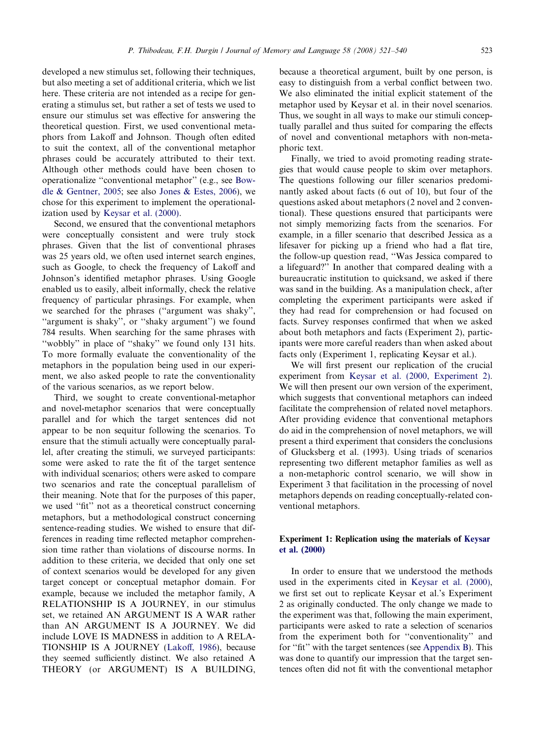developed a new stimulus set, following their techniques, but also meeting a set of additional criteria, which we list here. These criteria are not intended as a recipe for generating a stimulus set, but rather a set of tests we used to ensure our stimulus set was effective for answering the theoretical question. First, we used conventional metaphors from Lakoff and Johnson. Though often edited to suit the context, all of the conventional metaphor phrases could be accurately attributed to their text. Although other methods could have been chosen to operationalize ''conventional metaphor'' (e.g., see [Bow](#page-18-0)[dle & Gentner, 2005](#page-18-0); see also [Jones & Estes, 2006\)](#page-19-0), we chose for this experiment to implement the operationalization used by [Keysar et al. \(2000\).](#page-19-0)

Second, we ensured that the conventional metaphors were conceptually consistent and were truly stock phrases. Given that the list of conventional phrases was 25 years old, we often used internet search engines, such as Google, to check the frequency of Lakoff and Johnson's identified metaphor phrases. Using Google enabled us to easily, albeit informally, check the relative frequency of particular phrasings. For example, when we searched for the phrases (''argument was shaky'', "argument is shaky", or "shaky argument") we found 784 results. When searching for the same phrases with ''wobbly'' in place of ''shaky'' we found only 131 hits. To more formally evaluate the conventionality of the metaphors in the population being used in our experiment, we also asked people to rate the conventionality of the various scenarios, as we report below.

Third, we sought to create conventional-metaphor and novel-metaphor scenarios that were conceptually parallel and for which the target sentences did not appear to be non sequitur following the scenarios. To ensure that the stimuli actually were conceptually parallel, after creating the stimuli, we surveyed participants: some were asked to rate the fit of the target sentence with individual scenarios; others were asked to compare two scenarios and rate the conceptual parallelism of their meaning. Note that for the purposes of this paper, we used ''fit'' not as a theoretical construct concerning metaphors, but a methodological construct concerning sentence-reading studies. We wished to ensure that differences in reading time reflected metaphor comprehension time rather than violations of discourse norms. In addition to these criteria, we decided that only one set of context scenarios would be developed for any given target concept or conceptual metaphor domain. For example, because we included the metaphor family, A RELATIONSHIP IS A JOURNEY, in our stimulus set, we retained AN ARGUMENT IS A WAR rather than AN ARGUMENT IS A JOURNEY. We did include LOVE IS MADNESS in addition to A RELA-TIONSHIP IS A JOURNEY (Lakoff[, 1986](#page-19-0)), because they seemed sufficiently distinct. We also retained A THEORY (or ARGUMENT) IS A BUILDING,

because a theoretical argument, built by one person, is easy to distinguish from a verbal conflict between two. We also eliminated the initial explicit statement of the metaphor used by Keysar et al. in their novel scenarios. Thus, we sought in all ways to make our stimuli conceptually parallel and thus suited for comparing the effects of novel and conventional metaphors with non-metaphoric text.

Finally, we tried to avoid promoting reading strategies that would cause people to skim over metaphors. The questions following our filler scenarios predominantly asked about facts (6 out of 10), but four of the questions asked about metaphors (2 novel and 2 conventional). These questions ensured that participants were not simply memorizing facts from the scenarios. For example, in a filler scenario that described Jessica as a lifesaver for picking up a friend who had a flat tire, the follow-up question read, ''Was Jessica compared to a lifeguard?'' In another that compared dealing with a bureaucratic institution to quicksand, we asked if there was sand in the building. As a manipulation check, after completing the experiment participants were asked if they had read for comprehension or had focused on facts. Survey responses confirmed that when we asked about both metaphors and facts (Experiment 2), participants were more careful readers than when asked about facts only (Experiment 1, replicating Keysar et al.).

We will first present our replication of the crucial experiment from [Keysar et al. \(2000, Experiment 2\)](#page-19-0). We will then present our own version of the experiment, which suggests that conventional metaphors can indeed facilitate the comprehension of related novel metaphors. After providing evidence that conventional metaphors do aid in the comprehension of novel metaphors, we will present a third experiment that considers the conclusions of Glucksberg et al. (1993). Using triads of scenarios representing two different metaphor families as well as a non-metaphoric control scenario, we will show in Experiment 3 that facilitation in the processing of novel metaphors depends on reading conceptually-related conventional metaphors.

# Experiment 1: Replication using the materials of [Keysar](#page-19-0) [et al. \(2000\)](#page-19-0)

In order to ensure that we understood the methods used in the experiments cited in [Keysar et al. \(2000\)](#page-19-0), we first set out to replicate Keysar et al.'s Experiment 2 as originally conducted. The only change we made to the experiment was that, following the main experiment, participants were asked to rate a selection of scenarios from the experiment both for ''conventionality'' and for ''fit'' with the target sentences (see [Appendix B](#page-13-0)). This was done to quantify our impression that the target sentences often did not fit with the conventional metaphor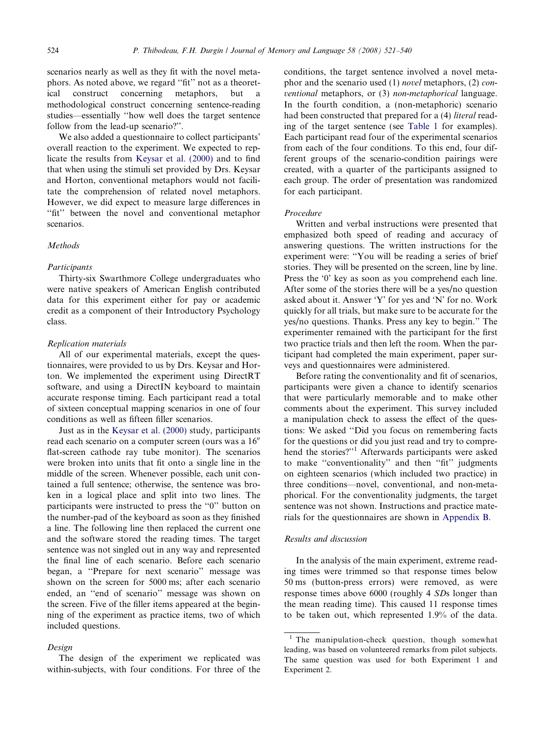scenarios nearly as well as they fit with the novel metaphors. As noted above, we regard ''fit'' not as a theoretical construct concerning metaphors, but a methodological construct concerning sentence-reading studies—essentially ''how well does the target sentence follow from the lead-up scenario?''.

We also added a questionnaire to collect participants' overall reaction to the experiment. We expected to replicate the results from [Keysar et al. \(2000\)](#page-19-0) and to find that when using the stimuli set provided by Drs. Keysar and Horton, conventional metaphors would not facilitate the comprehension of related novel metaphors. However, we did expect to measure large differences in "fit" between the novel and conventional metaphor scenarios.

# Methods

# **Participants**

Thirty-six Swarthmore College undergraduates who were native speakers of American English contributed data for this experiment either for pay or academic credit as a component of their Introductory Psychology class.

## Replication materials

All of our experimental materials, except the questionnaires, were provided to us by Drs. Keysar and Horton. We implemented the experiment using DirectRT software, and using a DirectIN keyboard to maintain accurate response timing. Each participant read a total of sixteen conceptual mapping scenarios in one of four conditions as well as fifteen filler scenarios.

Just as in the [Keysar et al. \(2000\)](#page-19-0) study, participants read each scenario on a computer screen (ours was a  $16<sup>′</sup>$ flat-screen cathode ray tube monitor). The scenarios were broken into units that fit onto a single line in the middle of the screen. Whenever possible, each unit contained a full sentence; otherwise, the sentence was broken in a logical place and split into two lines. The participants were instructed to press the ''0'' button on the number-pad of the keyboard as soon as they finished a line. The following line then replaced the current one and the software stored the reading times. The target sentence was not singled out in any way and represented the final line of each scenario. Before each scenario began, a ''Prepare for next scenario'' message was shown on the screen for 5000 ms; after each scenario ended, an ''end of scenario'' message was shown on the screen. Five of the filler items appeared at the beginning of the experiment as practice items, two of which included questions.

### Design

The design of the experiment we replicated was within-subjects, with four conditions. For three of the

conditions, the target sentence involved a novel metaphor and the scenario used (1) novel metaphors, (2) conventional metaphors, or (3) non-metaphorical language. In the fourth condition, a (non-metaphoric) scenario had been constructed that prepared for a (4) literal reading of the target sentence (see [Table 1](#page-4-0) for examples). Each participant read four of the experimental scenarios from each of the four conditions. To this end, four different groups of the scenario-condition pairings were created, with a quarter of the participants assigned to each group. The order of presentation was randomized for each participant.

#### Procedure

Written and verbal instructions were presented that emphasized both speed of reading and accuracy of answering questions. The written instructions for the experiment were: ''You will be reading a series of brief stories. They will be presented on the screen, line by line. Press the '0' key as soon as you comprehend each line. After some of the stories there will be a yes/no question asked about it. Answer 'Y' for yes and 'N' for no. Work quickly for all trials, but make sure to be accurate for the yes/no questions. Thanks. Press any key to begin.'' The experimenter remained with the participant for the first two practice trials and then left the room. When the participant had completed the main experiment, paper surveys and questionnaires were administered.

Before rating the conventionality and fit of scenarios, participants were given a chance to identify scenarios that were particularly memorable and to make other comments about the experiment. This survey included a manipulation check to assess the effect of the questions: We asked ''Did you focus on remembering facts for the questions or did you just read and try to comprehend the stories?"<sup>1</sup> Afterwards participants were asked to make ''conventionality'' and then ''fit'' judgments on eighteen scenarios (which included two practice) in three conditions—novel, conventional, and non-metaphorical. For the conventionality judgments, the target sentence was not shown. Instructions and practice materials for the questionnaires are shown in [Appendix B.](#page-13-0)

# Results and discussion

In the analysis of the main experiment, extreme reading times were trimmed so that response times below 50 ms (button-press errors) were removed, as were response times above 6000 (roughly 4 SDs longer than the mean reading time). This caused 11 response times to be taken out, which represented 1.9% of the data.

 $<sup>1</sup>$  The manipulation-check question, though somewhat</sup> leading, was based on volunteered remarks from pilot subjects. The same question was used for both Experiment 1 and Experiment 2.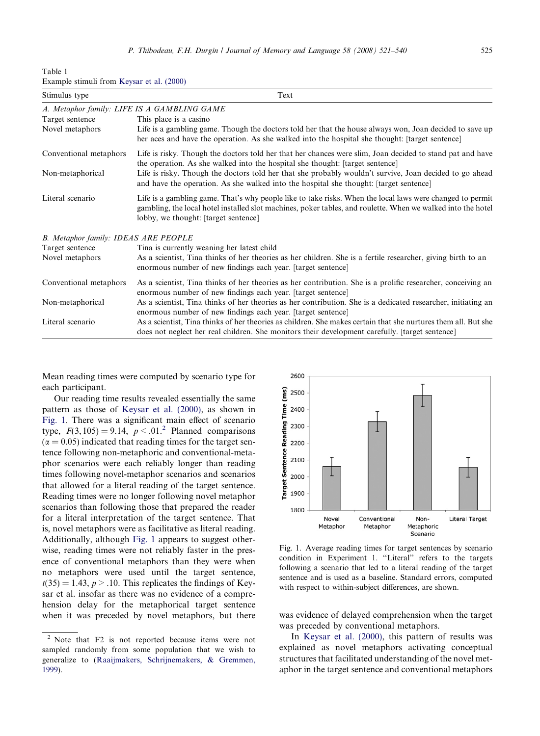<span id="page-4-0"></span>

| Table 1                                   |  |  |
|-------------------------------------------|--|--|
| Example stimuli from Keysar et al. (2000) |  |  |

| Stimulus type                        | Text                                                                                                                                                                                                                                                              |
|--------------------------------------|-------------------------------------------------------------------------------------------------------------------------------------------------------------------------------------------------------------------------------------------------------------------|
|                                      | A. Metaphor family: LIFE IS A GAMBLING GAME                                                                                                                                                                                                                       |
| Target sentence                      | This place is a casino                                                                                                                                                                                                                                            |
| Novel metaphors                      | Life is a gambling game. Though the doctors told her that the house always won, Joan decided to save up<br>her aces and have the operation. As she walked into the hospital she thought: [target sentence]                                                        |
| Conventional metaphors               | Life is risky. Though the doctors told her that her chances were slim, Joan decided to stand pat and have<br>the operation. As she walked into the hospital she thought: [target sentence]                                                                        |
| Non-metaphorical                     | Life is risky. Though the doctors told her that she probably wouldn't survive, Joan decided to go ahead<br>and have the operation. As she walked into the hospital she thought: [target sentence]                                                                 |
| Literal scenario                     | Life is a gambling game. That's why people like to take risks. When the local laws were changed to permit<br>gambling, the local hotel installed slot machines, poker tables, and roulette. When we walked into the hotel<br>lobby, we thought: [target sentence] |
| B. Metaphor family: IDEAS ARE PEOPLE |                                                                                                                                                                                                                                                                   |
| Target sentence                      | Tina is currently weaning her latest child                                                                                                                                                                                                                        |
| Novel metaphors                      | As a scientist, Tina thinks of her theories as her children. She is a fertile researcher, giving birth to an<br>enormous number of new findings each year. [target sentence]                                                                                      |
| Conventional metaphors               | As a scientist, Tina thinks of her theories as her contribution. She is a prolific researcher, conceiving an<br>enormous number of new findings each year. [target sentence]                                                                                      |
| Non-metaphorical                     | As a scientist, Tina thinks of her theories as her contribution. She is a dedicated researcher, initiating an<br>enormous number of new findings each year. [target sentence]                                                                                     |
| Literal scenario                     | As a scientist, Tina thinks of her theories as children. She makes certain that she nurtures them all. But she<br>does not neglect her real children. She monitors their development carefully. [target sentence]                                                 |

Mean reading times were computed by scenario type for each participant.

Our reading time results revealed essentially the same pattern as those of [Keysar et al. \(2000\),](#page-19-0) as shown in Fig. 1. There was a significant main effect of scenario type,  $F(3, 105) = 9.14$ ,  $p < .01<sup>2</sup>$  Planned comparisons  $(\alpha = 0.05)$  indicated that reading times for the target sentence following non-metaphoric and conventional-metaphor scenarios were each reliably longer than reading times following novel-metaphor scenarios and scenarios that allowed for a literal reading of the target sentence. Reading times were no longer following novel metaphor scenarios than following those that prepared the reader for a literal interpretation of the target sentence. That is, novel metaphors were as facilitative as literal reading. Additionally, although Fig. 1 appears to suggest otherwise, reading times were not reliably faster in the presence of conventional metaphors than they were when no metaphors were used until the target sentence,  $t(35) = 1.43$ ,  $p > 0.10$ . This replicates the findings of Keysar et al. insofar as there was no evidence of a comprehension delay for the metaphorical target sentence when it was preceded by novel metaphors, but there was evidence of delayed comprehension when the target



Fig. 1. Average reading times for target sentences by scenario condition in Experiment 1. ''Literal'' refers to the targets following a scenario that led to a literal reading of the target sentence and is used as a baseline. Standard errors, computed with respect to within-subject differences, are shown.

was preceded by conventional metaphors.

In [Keysar et al. \(2000\),](#page-19-0) this pattern of results was explained as novel metaphors activating conceptual structures that facilitated understanding of the novel metaphor in the target sentence and conventional metaphors

<sup>2</sup> Note that F2 is not reported because items were not sampled randomly from some population that we wish to generalize to ([Raaijmakers, Schrijnemakers, & Gremmen,](#page-19-0) [1999](#page-19-0)).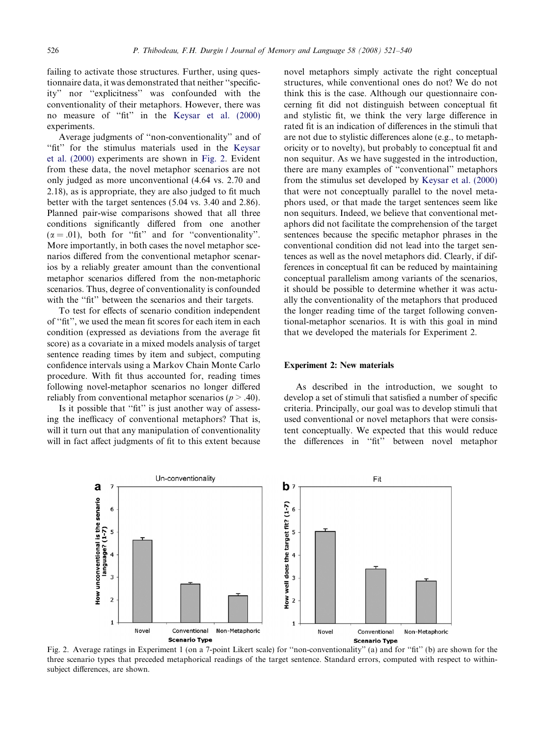failing to activate those structures. Further, using questionnaire data, it was demonstrated that neither ''specificity'' nor ''explicitness'' was confounded with the conventionality of their metaphors. However, there was no measure of ''fit'' in the [Keysar et al. \(2000\)](#page-19-0) experiments.

Average judgments of ''non-conventionality'' and of "fit" for the stimulus materials used in the [Keysar](#page-19-0) [et al. \(2000\)](#page-19-0) experiments are shown in Fig. 2. Evident from these data, the novel metaphor scenarios are not only judged as more unconventional (4.64 vs. 2.70 and 2.18), as is appropriate, they are also judged to fit much better with the target sentences (5.04 vs. 3.40 and 2.86). Planned pair-wise comparisons showed that all three conditions significantly differed from one another  $(\alpha = .01)$ , both for "fit" and for "conventionality". More importantly, in both cases the novel metaphor scenarios differed from the conventional metaphor scenarios by a reliably greater amount than the conventional metaphor scenarios differed from the non-metaphoric scenarios. Thus, degree of conventionality is confounded with the "fit" between the scenarios and their targets.

To test for effects of scenario condition independent of ''fit'', we used the mean fit scores for each item in each condition (expressed as deviations from the average fit score) as a covariate in a mixed models analysis of target sentence reading times by item and subject, computing confidence intervals using a Markov Chain Monte Carlo procedure. With fit thus accounted for, reading times following novel-metaphor scenarios no longer differed reliably from conventional metaphor scenarios ( $p > .40$ ).

Is it possible that ''fit'' is just another way of assessing the inefficacy of conventional metaphors? That is, will it turn out that any manipulation of conventionality will in fact affect judgments of fit to this extent because novel metaphors simply activate the right conceptual structures, while conventional ones do not? We do not think this is the case. Although our questionnaire concerning fit did not distinguish between conceptual fit and stylistic fit, we think the very large difference in rated fit is an indication of differences in the stimuli that are not due to stylistic differences alone (e.g., to metaphoricity or to novelty), but probably to conceptual fit and non sequitur. As we have suggested in the introduction, there are many examples of ''conventional'' metaphors from the stimulus set developed by [Keysar et al. \(2000\)](#page-19-0) that were not conceptually parallel to the novel metaphors used, or that made the target sentences seem like non sequiturs. Indeed, we believe that conventional metaphors did not facilitate the comprehension of the target sentences because the specific metaphor phrases in the conventional condition did not lead into the target sentences as well as the novel metaphors did. Clearly, if differences in conceptual fit can be reduced by maintaining conceptual parallelism among variants of the scenarios, it should be possible to determine whether it was actually the conventionality of the metaphors that produced the longer reading time of the target following conventional-metaphor scenarios. It is with this goal in mind that we developed the materials for Experiment 2.

#### Experiment 2: New materials

As described in the introduction, we sought to develop a set of stimuli that satisfied a number of specific criteria. Principally, our goal was to develop stimuli that used conventional or novel metaphors that were consistent conceptually. We expected that this would reduce the differences in ''fit'' between novel metaphor



Fig. 2. Average ratings in Experiment 1 (on a 7-point Likert scale) for ''non-conventionality'' (a) and for ''fit'' (b) are shown for the three scenario types that preceded metaphorical readings of the target sentence. Standard errors, computed with respect to withinsubject differences, are shown.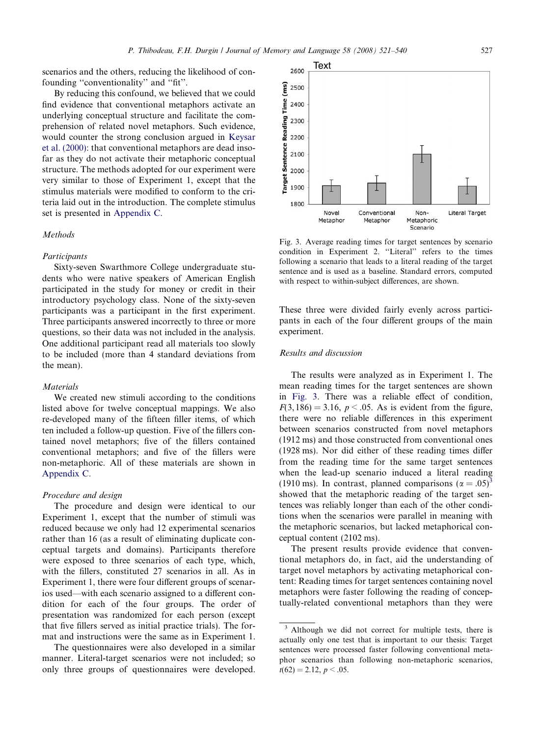scenarios and the others, reducing the likelihood of confounding ''conventionality'' and ''fit''.

By reducing this confound, we believed that we could find evidence that conventional metaphors activate an underlying conceptual structure and facilitate the comprehension of related novel metaphors. Such evidence, would counter the strong conclusion argued in [Keysar](#page-19-0) [et al. \(2000\)](#page-19-0): that conventional metaphors are dead insofar as they do not activate their metaphoric conceptual structure. The methods adopted for our experiment were very similar to those of Experiment 1, except that the stimulus materials were modified to conform to the criteria laid out in the introduction. The complete stimulus set is presented in Appendix C.

# Methods

#### **Participants**

Sixty-seven Swarthmore College undergraduate students who were native speakers of American English participated in the study for money or credit in their introductory psychology class. None of the sixty-seven participants was a participant in the first experiment. Three participants answered incorrectly to three or more questions, so their data was not included in the analysis. One additional participant read all materials too slowly to be included (more than 4 standard deviations from the mean).

## **Materials**

We created new stimuli according to the conditions listed above for twelve conceptual mappings. We also re-developed many of the fifteen filler items, of which ten included a follow-up question. Five of the fillers contained novel metaphors; five of the fillers contained conventional metaphors; and five of the fillers were non-metaphoric. All of these materials are shown in Appendix C.

# Procedure and design

The procedure and design were identical to our Experiment 1, except that the number of stimuli was reduced because we only had 12 experimental scenarios rather than 16 (as a result of eliminating duplicate conceptual targets and domains). Participants therefore were exposed to three scenarios of each type, which, with the fillers, constituted 27 scenarios in all. As in Experiment 1, there were four different groups of scenarios used—with each scenario assigned to a different condition for each of the four groups. The order of presentation was randomized for each person (except that five fillers served as initial practice trials). The format and instructions were the same as in Experiment 1.

The questionnaires were also developed in a similar manner. Literal-target scenarios were not included; so only three groups of questionnaires were developed.



Fig. 3. Average reading times for target sentences by scenario condition in Experiment 2. ''Literal'' refers to the times following a scenario that leads to a literal reading of the target sentence and is used as a baseline. Standard errors, computed with respect to within-subject differences, are shown.

These three were divided fairly evenly across participants in each of the four different groups of the main experiment.

# Results and discussion

The results were analyzed as in Experiment 1. The mean reading times for the target sentences are shown in Fig. 3. There was a reliable effect of condition,  $F(3, 186) = 3.16$ ,  $p < .05$ . As is evident from the figure, there were no reliable differences in this experiment between scenarios constructed from novel metaphors (1912 ms) and those constructed from conventional ones (1928 ms). Nor did either of these reading times differ from the reading time for the same target sentences when the lead-up scenario induced a literal reading (1910 ms). In contrast, planned comparisons ( $\alpha = .05$ )<sup>3</sup> showed that the metaphoric reading of the target sentences was reliably longer than each of the other conditions when the scenarios were parallel in meaning with the metaphoric scenarios, but lacked metaphorical conceptual content (2102 ms).

The present results provide evidence that conventional metaphors do, in fact, aid the understanding of target novel metaphors by activating metaphorical content: Reading times for target sentences containing novel metaphors were faster following the reading of conceptually-related conventional metaphors than they were

<sup>&</sup>lt;sup>3</sup> Although we did not correct for multiple tests, there is actually only one test that is important to our thesis: Target sentences were processed faster following conventional metaphor scenarios than following non-metaphoric scenarios,  $t(62) = 2.12, p \le .05.$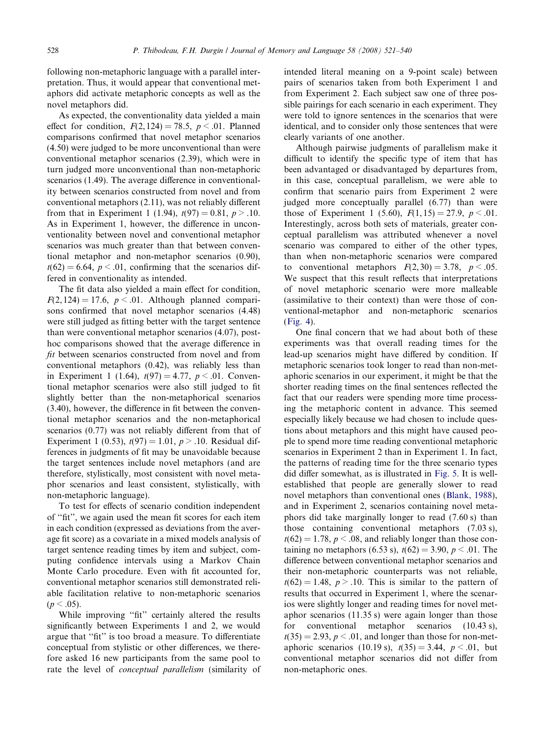following non-metaphoric language with a parallel interpretation. Thus, it would appear that conventional metaphors did activate metaphoric concepts as well as the novel metaphors did.

As expected, the conventionality data yielded a main effect for condition,  $F(2, 124) = 78.5$ ,  $p \le 0.01$ . Planned comparisons confirmed that novel metaphor scenarios (4.50) were judged to be more unconventional than were conventional metaphor scenarios (2.39), which were in turn judged more unconventional than non-metaphoric scenarios (1.49). The average difference in conventionality between scenarios constructed from novel and from conventional metaphors (2.11), was not reliably different from that in Experiment 1 (1.94),  $t(97) = 0.81$ ,  $p > .10$ . As in Experiment 1, however, the difference in unconventionality between novel and conventional metaphor scenarios was much greater than that between conventional metaphor and non-metaphor scenarios (0.90),  $t(62) = 6.64$ ,  $p < .01$ , confirming that the scenarios differed in conventionality as intended.

The fit data also yielded a main effect for condition,  $F(2, 124) = 17.6$ ,  $p < .01$ . Although planned comparisons confirmed that novel metaphor scenarios (4.48) were still judged as fitting better with the target sentence than were conventional metaphor scenarios (4.07), posthoc comparisons showed that the average difference in fit between scenarios constructed from novel and from conventional metaphors (0.42), was reliably less than in Experiment 1 (1.64),  $t(97) = 4.77$ ,  $p < .01$ . Conventional metaphor scenarios were also still judged to fit slightly better than the non-metaphorical scenarios (3.40), however, the difference in fit between the conventional metaphor scenarios and the non-metaphorical scenarios (0.77) was not reliably different from that of Experiment 1 (0.53),  $t(97) = 1.01$ ,  $p > 0.10$ . Residual differences in judgments of fit may be unavoidable because the target sentences include novel metaphors (and are therefore, stylistically, most consistent with novel metaphor scenarios and least consistent, stylistically, with non-metaphoric language).

To test for effects of scenario condition independent of ''fit'', we again used the mean fit scores for each item in each condition (expressed as deviations from the average fit score) as a covariate in a mixed models analysis of target sentence reading times by item and subject, computing confidence intervals using a Markov Chain Monte Carlo procedure. Even with fit accounted for, conventional metaphor scenarios still demonstrated reliable facilitation relative to non-metaphoric scenarios  $(p < .05)$ .

While improving ''fit'' certainly altered the results significantly between Experiments 1 and 2, we would argue that ''fit'' is too broad a measure. To differentiate conceptual from stylistic or other differences, we therefore asked 16 new participants from the same pool to rate the level of conceptual parallelism (similarity of

intended literal meaning on a 9-point scale) between pairs of scenarios taken from both Experiment 1 and from Experiment 2. Each subject saw one of three possible pairings for each scenario in each experiment. They were told to ignore sentences in the scenarios that were identical, and to consider only those sentences that were clearly variants of one another.

Although pairwise judgments of parallelism make it difficult to identify the specific type of item that has been advantaged or disadvantaged by departures from, in this case, conceptual parallelism, we were able to confirm that scenario pairs from Experiment 2 were judged more conceptually parallel (6.77) than were those of Experiment 1 (5.60),  $F(1, 15) = 27.9$ ,  $p < .01$ . Interestingly, across both sets of materials, greater conceptual parallelism was attributed whenever a novel scenario was compared to either of the other types, than when non-metaphoric scenarios were compared to conventional metaphors  $F(2, 30) = 3.78$ ,  $p < .05$ . We suspect that this result reflects that interpretations of novel metaphoric scenario were more malleable (assimilative to their context) than were those of conventional-metaphor and non-metaphoric scenarios ([Fig. 4\)](#page-8-0).

One final concern that we had about both of these experiments was that overall reading times for the lead-up scenarios might have differed by condition. If metaphoric scenarios took longer to read than non-metaphoric scenarios in our experiment, it might be that the shorter reading times on the final sentences reflected the fact that our readers were spending more time processing the metaphoric content in advance. This seemed especially likely because we had chosen to include questions about metaphors and this might have caused people to spend more time reading conventional metaphoric scenarios in Experiment 2 than in Experiment 1. In fact, the patterns of reading time for the three scenario types did differ somewhat, as is illustrated in [Fig. 5.](#page-8-0) It is wellestablished that people are generally slower to read novel metaphors than conventional ones [\(Blank, 1988](#page-18-0)), and in Experiment 2, scenarios containing novel metaphors did take marginally longer to read (7.60 s) than those containing conventional metaphors (7.03 s),  $t(62) = 1.78$ ,  $p < .08$ , and reliably longer than those containing no metaphors (6.53 s),  $t(62) = 3.90, p < .01$ . The difference between conventional metaphor scenarios and their non-metaphoric counterparts was not reliable,  $t(62) = 1.48$ ,  $p > 0.10$ . This is similar to the pattern of results that occurred in Experiment 1, where the scenarios were slightly longer and reading times for novel metaphor scenarios (11.35 s) were again longer than those for conventional metaphor scenarios (10.43 s),  $t(35) = 2.93$ ,  $p \le 0.01$ , and longer than those for non-metaphoric scenarios (10.19 s),  $t(35) = 3.44$ ,  $p < .01$ , but conventional metaphor scenarios did not differ from non-metaphoric ones.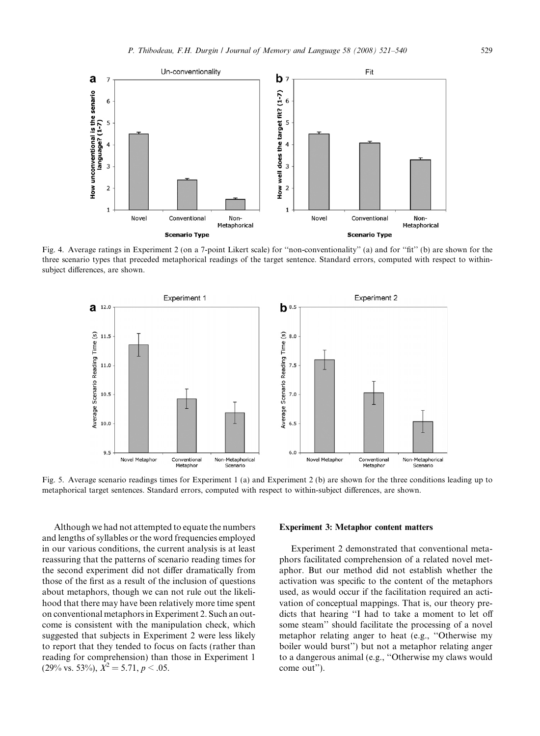<span id="page-8-0"></span>

Fig. 4. Average ratings in Experiment 2 (on a 7-point Likert scale) for "non-conventionality" (a) and for "fit" (b) are shown for the three scenario types that preceded metaphorical readings of the target sentence. Standard errors, computed with respect to withinsubject differences, are shown.



Fig. 5. Average scenario readings times for Experiment 1 (a) and Experiment 2 (b) are shown for the three conditions leading up to metaphorical target sentences. Standard errors, computed with respect to within-subject differences, are shown.

Although we had not attempted to equate the numbers and lengths of syllables or the word frequencies employed in our various conditions, the current analysis is at least reassuring that the patterns of scenario reading times for the second experiment did not differ dramatically from those of the first as a result of the inclusion of questions about metaphors, though we can not rule out the likelihood that there may have been relatively more time spent on conventional metaphors in Experiment 2. Such an outcome is consistent with the manipulation check, which suggested that subjects in Experiment 2 were less likely to report that they tended to focus on facts (rather than reading for comprehension) than those in Experiment 1  $(29\% \text{ vs. } 53\%), X^2 = 5.71, p < .05.$ 

#### Experiment 3: Metaphor content matters

Experiment 2 demonstrated that conventional metaphors facilitated comprehension of a related novel metaphor. But our method did not establish whether the activation was specific to the content of the metaphors used, as would occur if the facilitation required an activation of conceptual mappings. That is, our theory predicts that hearing ''I had to take a moment to let off some steam'' should facilitate the processing of a novel metaphor relating anger to heat (e.g., ''Otherwise my boiler would burst'') but not a metaphor relating anger to a dangerous animal (e.g., ''Otherwise my claws would come out'').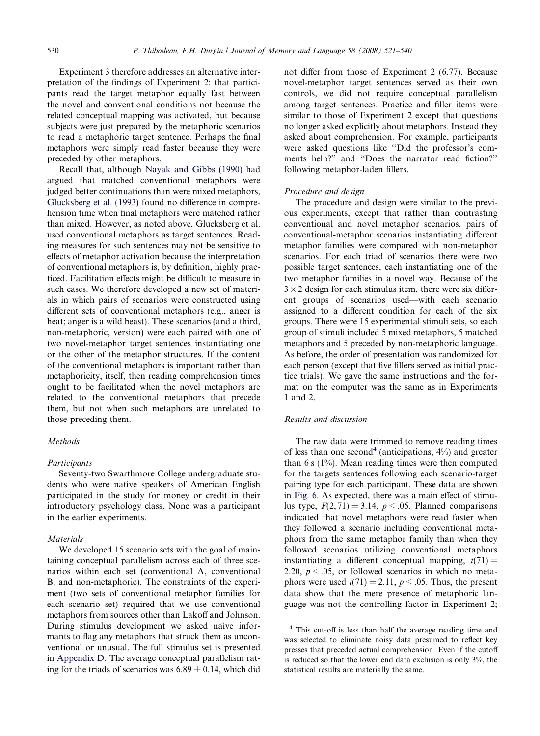Experiment 3 therefore addresses an alternative interpretation of the findings of Experiment 2: that participants read the target metaphor equally fast between the novel and conventional conditions not because the related conceptual mapping was activated, but because subjects were just prepared by the metaphoric scenarios to read a metaphoric target sentence. Perhaps the final metaphors were simply read faster because they were preceded by other metaphors.

Recall that, although [Nayak and Gibbs \(1990\)](#page-19-0) had argued that matched conventional metaphors were judged better continuations than were mixed metaphors, [Glucksberg et al. \(1993\)](#page-19-0) found no difference in comprehension time when final metaphors were matched rather than mixed. However, as noted above, Glucksberg et al. used conventional metaphors as target sentences. Reading measures for such sentences may not be sensitive to effects of metaphor activation because the interpretation of conventional metaphors is, by definition, highly practiced. Facilitation effects might be difficult to measure in such cases. We therefore developed a new set of materials in which pairs of scenarios were constructed using different sets of conventional metaphors (e.g., anger is heat; anger is a wild beast). These scenarios (and a third, non-metaphoric, version) were each paired with one of two novel-metaphor target sentences instantiating one or the other of the metaphor structures. If the content of the conventional metaphors is important rather than metaphoricity, itself, then reading comprehension times ought to be facilitated when the novel metaphors are related to the conventional metaphors that precede them, but not when such metaphors are unrelated to those preceding them.

# Methods

# **Participants**

Seventy-two Swarthmore College undergraduate students who were native speakers of American English participated in the study for money or credit in their introductory psychology class. None was a participant in the earlier experiments.

# Materials

We developed 15 scenario sets with the goal of maintaining conceptual parallelism across each of three scenarios within each set (conventional A, conventional B, and non-metaphoric). The constraints of the experiment (two sets of conventional metaphor families for each scenario set) required that we use conventional metaphors from sources other than Lakoff and Johnson. During stimulus development we asked naive informants to flag any metaphors that struck them as unconventional or unusual. The full stimulus set is presented in Appendix D. The average conceptual parallelism rating for the triads of scenarios was  $6.89 \pm 0.14$ , which did not differ from those of Experiment 2 (6.77). Because novel-metaphor target sentences served as their own controls, we did not require conceptual parallelism among target sentences. Practice and filler items were similar to those of Experiment 2 except that questions no longer asked explicitly about metaphors. Instead they asked about comprehension. For example, participants were asked questions like ''Did the professor's comments help?'' and ''Does the narrator read fiction?'' following metaphor-laden fillers.

#### Procedure and design

The procedure and design were similar to the previous experiments, except that rather than contrasting conventional and novel metaphor scenarios, pairs of conventional-metaphor scenarios instantiating different metaphor families were compared with non-metaphor scenarios. For each triad of scenarios there were two possible target sentences, each instantiating one of the two metaphor families in a novel way. Because of the  $3 \times 2$  design for each stimulus item, there were six different groups of scenarios used—with each scenario assigned to a different condition for each of the six groups. There were 15 experimental stimuli sets, so each group of stimuli included 5 mixed metaphors, 5 matched metaphors and 5 preceded by non-metaphoric language. As before, the order of presentation was randomized for each person (except that five fillers served as initial practice trials). We gave the same instructions and the format on the computer was the same as in Experiments 1 and 2.

# Results and discussion

The raw data were trimmed to remove reading times of less than one second<sup>4</sup> (anticipations,  $4\%$ ) and greater than  $6 s (1\%)$ . Mean reading times were then computed for the targets sentences following each scenario-target pairing type for each participant. These data are shown in [Fig. 6](#page-10-0). As expected, there was a main effect of stimulus type,  $F(2, 71) = 3.14$ ,  $p < .05$ . Planned comparisons indicated that novel metaphors were read faster when they followed a scenario including conventional metaphors from the same metaphor family than when they followed scenarios utilizing conventional metaphors instantiating a different conceptual mapping,  $t(71) =$ 2.20,  $p < 0.05$ , or followed scenarios in which no metaphors were used  $t(71) = 2.11$ ,  $p < .05$ . Thus, the present data show that the mere presence of metaphoric language was not the controlling factor in Experiment 2;

<sup>4</sup> This cut-off is less than half the average reading time and was selected to eliminate noisy data presumed to reflect key presses that preceded actual comprehension. Even if the cutoff is reduced so that the lower end data exclusion is only 3%, the statistical results are materially the same.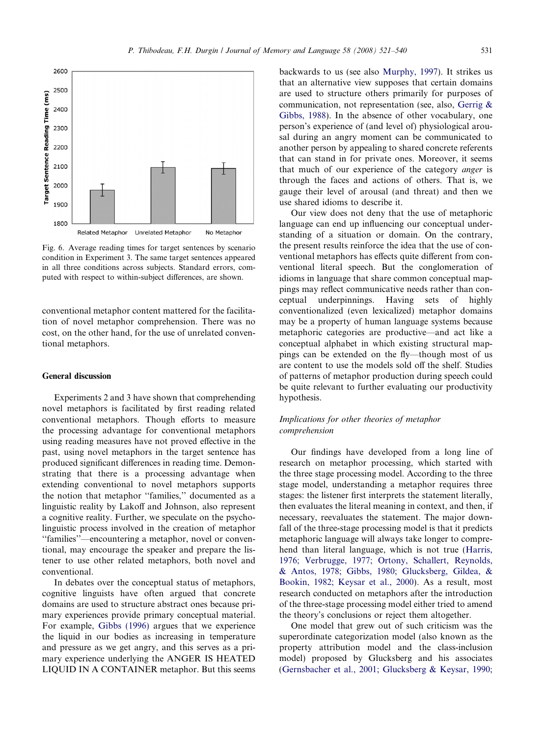<span id="page-10-0"></span>

Fig. 6. Average reading times for target sentences by scenario condition in Experiment 3. The same target sentences appeared in all three conditions across subjects. Standard errors, computed with respect to within-subject differences, are shown.

conventional metaphor content mattered for the facilitation of novel metaphor comprehension. There was no cost, on the other hand, for the use of unrelated conventional metaphors.

# General discussion

Experiments 2 and 3 have shown that comprehending novel metaphors is facilitated by first reading related conventional metaphors. Though efforts to measure the processing advantage for conventional metaphors using reading measures have not proved effective in the past, using novel metaphors in the target sentence has produced significant differences in reading time. Demonstrating that there is a processing advantage when extending conventional to novel metaphors supports the notion that metaphor ''families,'' documented as a linguistic reality by Lakoff and Johnson, also represent a cognitive reality. Further, we speculate on the psycholinguistic process involved in the creation of metaphor ''families''—encountering a metaphor, novel or conventional, may encourage the speaker and prepare the listener to use other related metaphors, both novel and conventional.

In debates over the conceptual status of metaphors, cognitive linguists have often argued that concrete domains are used to structure abstract ones because primary experiences provide primary conceptual material. For example, [Gibbs \(1996\)](#page-19-0) argues that we experience the liquid in our bodies as increasing in temperature and pressure as we get angry, and this serves as a primary experience underlying the ANGER IS HEATED LIQUID IN A CONTAINER metaphor. But this seems backwards to us (see also [Murphy, 1997](#page-19-0)). It strikes us that an alternative view supposes that certain domains are used to structure others primarily for purposes of communication, not representation (see, also, [Gerrig &](#page-19-0) [Gibbs, 1988\)](#page-19-0). In the absence of other vocabulary, one person's experience of (and level of) physiological arousal during an angry moment can be communicated to another person by appealing to shared concrete referents that can stand in for private ones. Moreover, it seems that much of our experience of the category anger is through the faces and actions of others. That is, we gauge their level of arousal (and threat) and then we use shared idioms to describe it.

Our view does not deny that the use of metaphoric language can end up influencing our conceptual understanding of a situation or domain. On the contrary, the present results reinforce the idea that the use of conventional metaphors has effects quite different from conventional literal speech. But the conglomeration of idioms in language that share common conceptual mappings may reflect communicative needs rather than conceptual underpinnings. Having sets of highly conventionalized (even lexicalized) metaphor domains may be a property of human language systems because metaphoric categories are productive—and act like a conceptual alphabet in which existing structural mappings can be extended on the fly—though most of us are content to use the models sold off the shelf. Studies of patterns of metaphor production during speech could be quite relevant to further evaluating our productivity hypothesis.

# Implications for other theories of metaphor comprehension

Our findings have developed from a long line of research on metaphor processing, which started with the three stage processing model. According to the three stage model, understanding a metaphor requires three stages: the listener first interprets the statement literally, then evaluates the literal meaning in context, and then, if necessary, reevaluates the statement. The major downfall of the three-stage processing model is that it predicts metaphoric language will always take longer to comprehend than literal language, which is not true ([Harris,](#page-19-0) [1976; Verbrugge, 1977; Ortony, Schallert, Reynolds,](#page-19-0) [& Antos, 1978; Gibbs, 1980; Glucksberg, Gildea, &](#page-19-0) [Bookin, 1982; Keysar et al., 2000](#page-19-0)). As a result, most research conducted on metaphors after the introduction of the three-stage processing model either tried to amend the theory's conclusions or reject them altogether.

One model that grew out of such criticism was the superordinate categorization model (also known as the property attribution model and the class-inclusion model) proposed by Glucksberg and his associates ([Gernsbacher et al., 2001; Glucksberg & Keysar, 1990;](#page-19-0)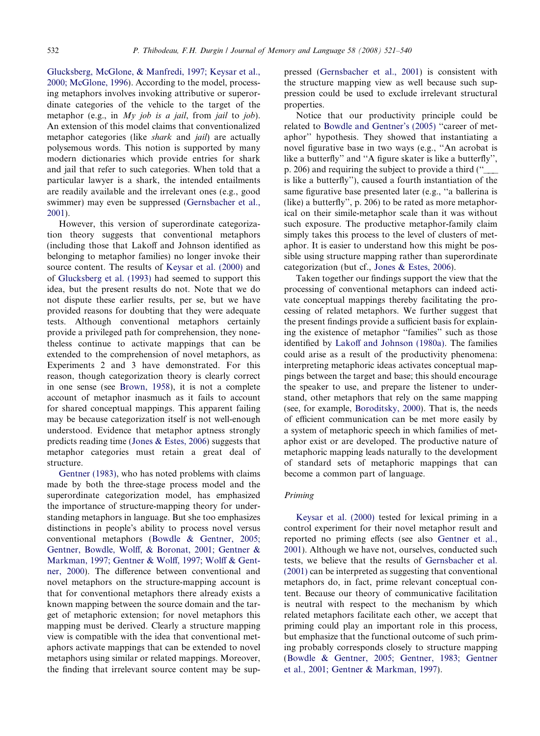[Glucksberg, McGlone, & Manfredi, 1997; Keysar et al.,](#page-19-0) [2000; McGlone, 1996](#page-19-0)). According to the model, processing metaphors involves invoking attributive or superordinate categories of the vehicle to the target of the metaphor (e.g., in  $My$  job is a jail, from jail to job). An extension of this model claims that conventionalized metaphor categories (like *shark* and *jail*) are actually polysemous words. This notion is supported by many modern dictionaries which provide entries for shark and jail that refer to such categories. When told that a particular lawyer is a shark, the intended entailments are readily available and the irrelevant ones (e.g., good swimmer) may even be suppressed [\(Gernsbacher et al.,](#page-19-0) [2001](#page-19-0)).

However, this version of superordinate categorization theory suggests that conventional metaphors (including those that Lakoff and Johnson identified as belonging to metaphor families) no longer invoke their source content. The results of [Keysar et al. \(2000\)](#page-19-0) and of [Glucksberg et al. \(1993\)](#page-19-0) had seemed to support this idea, but the present results do not. Note that we do not dispute these earlier results, per se, but we have provided reasons for doubting that they were adequate tests. Although conventional metaphors certainly provide a privileged path for comprehension, they nonetheless continue to activate mappings that can be extended to the comprehension of novel metaphors, as Experiments 2 and 3 have demonstrated. For this reason, though categorization theory is clearly correct in one sense (see [Brown, 1958](#page-18-0)), it is not a complete account of metaphor inasmuch as it fails to account for shared conceptual mappings. This apparent failing may be because categorization itself is not well-enough understood. Evidence that metaphor aptness strongly predicts reading time ([Jones & Estes, 2006](#page-19-0)) suggests that metaphor categories must retain a great deal of structure.

[Gentner \(1983\)](#page-19-0), who has noted problems with claims made by both the three-stage process model and the superordinate categorization model, has emphasized the importance of structure-mapping theory for understanding metaphors in language. But she too emphasizes distinctions in people's ability to process novel versus conventional metaphors [\(Bowdle & Gentner, 2005;](#page-18-0) Gentner, Bowdle, Wolff[, & Boronat, 2001; Gentner &](#page-18-0) [Markman, 1997; Gentner & Wol](#page-18-0)ff, 1997; Wolff & Gent[ner, 2000](#page-18-0)). The difference between conventional and novel metaphors on the structure-mapping account is that for conventional metaphors there already exists a known mapping between the source domain and the target of metaphoric extension; for novel metaphors this mapping must be derived. Clearly a structure mapping view is compatible with the idea that conventional metaphors activate mappings that can be extended to novel metaphors using similar or related mappings. Moreover, the finding that irrelevant source content may be suppressed ([Gernsbacher et al., 2001](#page-19-0)) is consistent with the structure mapping view as well because such suppression could be used to exclude irrelevant structural properties.

Notice that our productivity principle could be related to [Bowdle and Gentner's \(2005\)](#page-18-0) ''career of metaphor'' hypothesis. They showed that instantiating a novel figurative base in two ways (e.g., ''An acrobat is like a butterfly'' and ''A figure skater is like a butterfly'', p. 206) and requiring the subject to provide a third (" is like a butterfly''), caused a fourth instantiation of the same figurative base presented later (e.g., ''a ballerina is (like) a butterfly'', p. 206) to be rated as more metaphorical on their simile-metaphor scale than it was without such exposure. The productive metaphor-family claim simply takes this process to the level of clusters of metaphor. It is easier to understand how this might be possible using structure mapping rather than superordinate categorization (but cf., [Jones & Estes, 2006\)](#page-19-0).

Taken together our findings support the view that the processing of conventional metaphors can indeed activate conceptual mappings thereby facilitating the processing of related metaphors. We further suggest that the present findings provide a sufficient basis for explaining the existence of metaphor ''families'' such as those identified by Lakoff [and Johnson \(1980a\)](#page-19-0). The families could arise as a result of the productivity phenomena: interpreting metaphoric ideas activates conceptual mappings between the target and base; this should encourage the speaker to use, and prepare the listener to understand, other metaphors that rely on the same mapping (see, for example, [Boroditsky, 2000](#page-18-0)). That is, the needs of efficient communication can be met more easily by a system of metaphoric speech in which families of metaphor exist or are developed. The productive nature of metaphoric mapping leads naturally to the development of standard sets of metaphoric mappings that can become a common part of language.

# Priming

[Keysar et al. \(2000\)](#page-19-0) tested for lexical priming in a control experiment for their novel metaphor result and reported no priming effects (see also [Gentner et al.,](#page-19-0) [2001](#page-19-0)). Although we have not, ourselves, conducted such tests, we believe that the results of [Gernsbacher et al.](#page-19-0) [\(2001\)](#page-19-0) can be interpreted as suggesting that conventional metaphors do, in fact, prime relevant conceptual content. Because our theory of communicative facilitation is neutral with respect to the mechanism by which related metaphors facilitate each other, we accept that priming could play an important role in this process, but emphasize that the functional outcome of such priming probably corresponds closely to structure mapping ([Bowdle & Gentner, 2005; Gentner, 1983; Gentner](#page-18-0) [et al., 2001; Gentner & Markman, 1997\)](#page-18-0).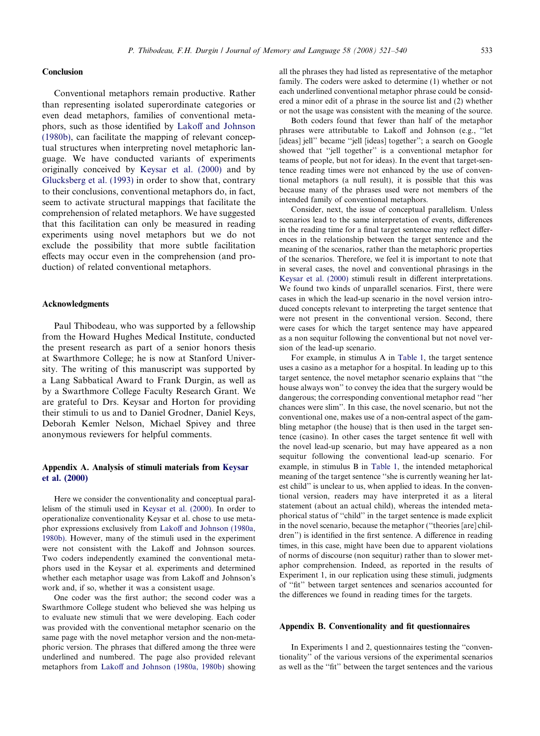Conventional metaphors remain productive. Rather than representing isolated superordinate categories or even dead metaphors, families of conventional metaphors, such as those identified by Lakoff [and Johnson](#page-19-0) [\(1980b\)](#page-19-0), can facilitate the mapping of relevant conceptual structures when interpreting novel metaphoric language. We have conducted variants of experiments originally conceived by [Keysar et al. \(2000\)](#page-19-0) and by [Glucksberg et al. \(1993\)](#page-19-0) in order to show that, contrary to their conclusions, conventional metaphors do, in fact, seem to activate structural mappings that facilitate the comprehension of related metaphors. We have suggested that this facilitation can only be measured in reading experiments using novel metaphors but we do not exclude the possibility that more subtle facilitation effects may occur even in the comprehension (and production) of related conventional metaphors.

# Acknowledgments

Paul Thibodeau, who was supported by a fellowship from the Howard Hughes Medical Institute, conducted the present research as part of a senior honors thesis at Swarthmore College; he is now at Stanford University. The writing of this manuscript was supported by a Lang Sabbatical Award to Frank Durgin, as well as by a Swarthmore College Faculty Research Grant. We are grateful to Drs. Keysar and Horton for providing their stimuli to us and to Daniel Grodner, Daniel Keys, Deborah Kemler Nelson, Michael Spivey and three anonymous reviewers for helpful comments.

# Appendix A. Analysis of stimuli materials from [Keysar](#page-19-0) [et al. \(2000\)](#page-19-0)

Here we consider the conventionality and conceptual parallelism of the stimuli used in [Keysar et al. \(2000\)](#page-19-0). In order to operationalize conventionality Keysar et al. chose to use metaphor expressions exclusively from Lakoff [and Johnson \(1980a,](#page-19-0) [1980b\)](#page-19-0). However, many of the stimuli used in the experiment were not consistent with the Lakoff and Johnson sources. Two coders independently examined the conventional metaphors used in the Keysar et al. experiments and determined whether each metaphor usage was from Lakoff and Johnson's work and, if so, whether it was a consistent usage.

One coder was the first author; the second coder was a Swarthmore College student who believed she was helping us to evaluate new stimuli that we were developing. Each coder was provided with the conventional metaphor scenario on the same page with the novel metaphor version and the non-metaphoric version. The phrases that differed among the three were underlined and numbered. The page also provided relevant metaphors from Lakoff [and Johnson \(1980a, 1980b\)](#page-19-0) showing

all the phrases they had listed as representative of the metaphor family. The coders were asked to determine (1) whether or not each underlined conventional metaphor phrase could be considered a minor edit of a phrase in the source list and (2) whether or not the usage was consistent with the meaning of the source.

Both coders found that fewer than half of the metaphor phrases were attributable to Lakoff and Johnson (e.g., ''let [ideas] jell" became "jell [ideas] together"; a search on Google showed that ''jell together'' is a conventional metaphor for teams of people, but not for ideas). In the event that target-sentence reading times were not enhanced by the use of conventional metaphors (a null result), it is possible that this was because many of the phrases used were not members of the intended family of conventional metaphors.

Consider, next, the issue of conceptual parallelism. Unless scenarios lead to the same interpretation of events, differences in the reading time for a final target sentence may reflect differences in the relationship between the target sentence and the meaning of the scenarios, rather than the metaphoric properties of the scenarios. Therefore, we feel it is important to note that in several cases, the novel and conventional phrasings in the [Keysar et al. \(2000\)](#page-19-0) stimuli result in different interpretations. We found two kinds of unparallel scenarios. First, there were cases in which the lead-up scenario in the novel version introduced concepts relevant to interpreting the target sentence that were not present in the conventional version. Second, there were cases for which the target sentence may have appeared as a non sequitur following the conventional but not novel version of the lead-up scenario.

For example, in stimulus A in [Table 1](#page-4-0), the target sentence uses a casino as a metaphor for a hospital. In leading up to this target sentence, the novel metaphor scenario explains that ''the house always won'' to convey the idea that the surgery would be dangerous; the corresponding conventional metaphor read ''her chances were slim''. In this case, the novel scenario, but not the conventional one, makes use of a non-central aspect of the gambling metaphor (the house) that is then used in the target sentence (casino). In other cases the target sentence fit well with the novel lead-up scenario, but may have appeared as a non sequitur following the conventional lead-up scenario. For example, in stimulus B in [Table 1,](#page-4-0) the intended metaphorical meaning of the target sentence ''she is currently weaning her latest child'' is unclear to us, when applied to ideas. In the conventional version, readers may have interpreted it as a literal statement (about an actual child), whereas the intended metaphorical status of ''child'' in the target sentence is made explicit in the novel scenario, because the metaphor (''theories [are] children'') is identified in the first sentence. A difference in reading times, in this case, might have been due to apparent violations of norms of discourse (non sequitur) rather than to slower metaphor comprehension. Indeed, as reported in the results of Experiment 1, in our replication using these stimuli, judgments of ''fit'' between target sentences and scenarios accounted for the differences we found in reading times for the targets.

# Appendix B. Conventionality and fit questionnaires

In Experiments 1 and 2, questionnaires testing the ''conventionality'' of the various versions of the experimental scenarios as well as the ''fit'' between the target sentences and the various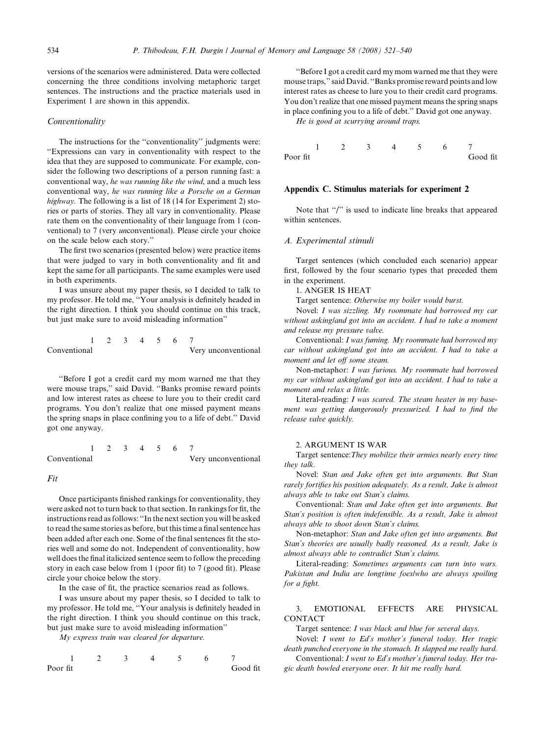<span id="page-13-0"></span>versions of the scenarios were administered. Data were collected concerning the three conditions involving metaphoric target sentences. The instructions and the practice materials used in Experiment 1 are shown in this appendix.

#### Conventionality

The instructions for the ''conventionality'' judgments were: ''Expressions can vary in conventionality with respect to the idea that they are supposed to communicate. For example, consider the following two descriptions of a person running fast: a conventional way, he was running like the wind, and a much less conventional way, he was running like a Porsche on a German highway. The following is a list of 18 (14 for Experiment 2) stories or parts of stories. They all vary in conventionality. Please rate them on the conventionality of their language from 1 (conventional) to 7 (very unconventional). Please circle your choice on the scale below each story.''

The first two scenarios (presented below) were practice items that were judged to vary in both conventionality and fit and kept the same for all participants. The same examples were used in both experiments.

I was unsure about my paper thesis, so I decided to talk to my professor. He told me, ''Your analysis is definitely headed in the right direction. I think you should continue on this track, but just make sure to avoid misleading information''

$$
\begin{array}{ccccccccc}\n & 1 & 2 & 3 & 4 & 5 & 6 & 7 \\
\text{Conventional} & & & & & & \\
\end{array}
$$

''Before I got a credit card my mom warned me that they were mouse traps,'' said David. ''Banks promise reward points and low interest rates as cheese to lure you to their credit card programs. You don't realize that one missed payment means the spring snaps in place confining you to a life of debt.'' David got one anyway.

1234567 Conventional Very unconventional

Fit

Once participants finished rankings for conventionality, they were asked not to turn back to that section. In rankings for fit, the instructions read as follows: ''In the next section you will be asked to read the same stories as before, but this time a final sentence has been added after each one. Some of the final sentences fit the stories well and some do not. Independent of conventionality, how well does the final italicized sentence seem to follow the preceding story in each case below from 1 (poor fit) to 7 (good fit). Please circle your choice below the story.

In the case of fit, the practice scenarios read as follows.

I was unsure about my paper thesis, so I decided to talk to my professor. He told me, ''Your analysis is definitely headed in the right direction. I think you should continue on this track, but just make sure to avoid misleading information''

My express train was cleared for departure.

| Poor fit |  |  | Good fit |
|----------|--|--|----------|

''Before I got a credit card my mom warned me that they were mouse traps,'' said David. ''Banks promise reward points and low interest rates as cheese to lure you to their credit card programs. You don't realize that one missed payment means the spring snaps in place confining you to a life of debt.'' David got one anyway.

He is good at scurrying around traps.

| Poor fit |  |  |  | Good fit |
|----------|--|--|--|----------|

# Appendix C. Stimulus materials for experiment 2

Note that "/" is used to indicate line breaks that appeared within sentences.

#### A. Experimental stimuli

Target sentences (which concluded each scenario) appear first, followed by the four scenario types that preceded them in the experiment.

1. ANGER IS HEAT

Target sentence: Otherwise my boiler would burst.

Novel: I was sizzling. My roommate had borrowed my car without asking/and got into an accident. I had to take a moment and release my pressure valve.

Conventional: I was fuming. My roommate had borrowed my car without asking/and got into an accident. I had to take a moment and let off some steam.

Non-metaphor: I was furious. My roommate had borrowed my car without asking/and got into an accident. I had to take a moment and relax a little.

Literal-reading: I was scared. The steam heater in my basement was getting dangerously pressurized. I had to find the release valve quickly.

## 2. ARGUMENT IS WAR

Target sentence:They mobilize their armies nearly every time they talk.

Novel: Stan and Jake often get into arguments. But Stan rarely fortifies his position adequately. As a result, Jake is almost always able to take out Stan's claims.

Conventional: Stan and Jake often get into arguments. But Stan's position is often indefensible. As a result, Jake is almost always able to shoot down Stan's claims.

Non-metaphor: Stan and Jake often get into arguments. But Stan's theories are usually badly reasoned. As a result, Jake is almost always able to contradict Stan's claims.

Literal-reading: Sometimes arguments can turn into wars. Pakistan and India are longtime foes/who are always spoiling for a fight.

#### 3. EMOTIONAL EFFECTS ARE PHYSICAL **CONTACT**

Target sentence: I was black and blue for several days.

Novel: I went to Ed's mother's funeral today. Her tragic death punched everyone in the stomach. It slapped me really hard. Conventional: I went to Ed's mother's funeral today. Her tra-

gic death bowled everyone over. It hit me really hard.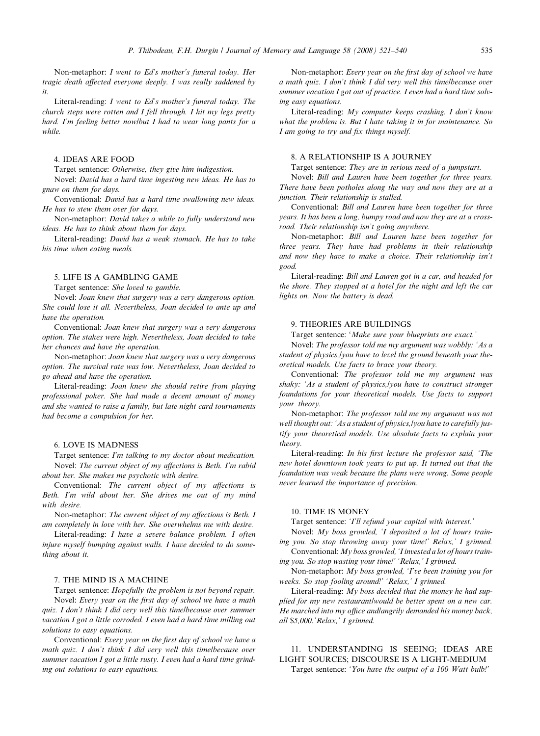Non-metaphor: I went to Ed's mother's funeral today. Her tragic death affected everyone deeply. I was really saddened by it.

Literal-reading: I went to Ed's mother's funeral today. The church steps were rotten and I fell through. I hit my legs pretty hard. I'm feeling better now/but I had to wear long pants for a while.

#### 4. IDEAS ARE FOOD

Target sentence: Otherwise, they give him indigestion.

Novel: David has a hard time ingesting new ideas. He has to gnaw on them for days.

Conventional: David has a hard time swallowing new ideas. He has to stew them over for days.

Non-metaphor: David takes a while to fully understand new ideas. He has to think about them for days.

Literal-reading: David has a weak stomach. He has to take his time when eating meals.

# 5. LIFE IS A GAMBLING GAME

Target sentence: She loved to gamble.

Novel: Joan knew that surgery was a very dangerous option. She could lose it all. Nevertheless, Joan decided to ante up and have the operation.

Conventional: Joan knew that surgery was a very dangerous option. The stakes were high. Nevertheless, Joan decided to take her chances and have the operation.

Non-metaphor: Joan knew that surgery was a very dangerous option. The survival rate was low. Nevertheless, Joan decided to go ahead and have the operation.

Literal-reading: Joan knew she should retire from playing professional poker. She had made a decent amount of money and she wanted to raise a family, but late night card tournaments had become a compulsion for her.

# 6. LOVE IS MADNESS

Target sentence: I'm talking to my doctor about medication. Novel: The current object of my affections is Beth. I'm rabid about her. She makes me psychotic with desire.

Conventional: The current object of my affections is Beth. I'm wild about her. She drives me out of my mind with desire.

Non-metaphor: The current object of my affections is Beth. I am completely in love with her. She overwhelms me with desire.

Literal-reading: I have a severe balance problem. I often injure myself bumping against walls. I have decided to do something about it.

# 7. THE MIND IS A MACHINE

Target sentence: Hopefully the problem is not beyond repair. Novel: Every year on the first day of school we have a math quiz. I don't think I did very well this time/because over summer vacation I got a little corroded. I even had a hard time milling out solutions to easy equations.

Conventional: Every year on the first day of school we have a math quiz. I don't think I did very well this time/because over summer vacation I got a little rusty. I even had a hard time grinding out solutions to easy equations.

Non-metaphor: Every year on the first day of school we have a math quiz. I don't think I did very well this time/because over summer vacation I got out of practice. I even had a hard time solving easy equations.

Literal-reading: My computer keeps crashing. I don't know what the problem is. But I hate taking it in for maintenance. So I am going to try and fix things myself.

#### 8. A RELATIONSHIP IS A JOURNEY

Target sentence: They are in serious need of a jumpstart.

Novel: Bill and Lauren have been together for three years. There have been potholes along the way and now they are at a junction. Their relationship is stalled.

Conventional: Bill and Lauren have been together for three years. It has been a long, bumpy road and now they are at a crossroad. Their relationship isn't going anywhere.

Non-metaphor: Bill and Lauren have been together for three years. They have had problems in their relationship and now they have to make a choice. Their relationship isn't good.

Literal-reading: Bill and Lauren got in a car, and headed for the shore. They stopped at a hotel for the night and left the car lights on. Now the battery is dead.

# 9. THEORIES ARE BUILDINGS

Target sentence: 'Make sure your blueprints are exact.'

Novel: The professor told me my argument was wobbly: 'As a student of physics,/you have to level the ground beneath your theoretical models. Use facts to brace your theory.

Conventional: The professor told me my argument was shaky: 'As a student of physics,/you have to construct stronger foundations for your theoretical models. Use facts to support your theory.

Non-metaphor: The professor told me my argument was not well thought out: 'As a student of physics,/you have to carefully justify your theoretical models. Use absolute facts to explain your theory.

Literal-reading: In his first lecture the professor said, 'The new hotel downtown took years to put up. It turned out that the foundation was weak because the plans were wrong. Some people never learned the importance of precision.

# 10. TIME IS MONEY

Target sentence: 'I'll refund your capital with interest.'

Novel: My boss growled, 'I deposited a lot of hours training you. So stop throwing away your time!' Relax,' I grinned.

Conventional: My boss growled, 'I invested a lot of hours training you. So stop wasting your time!' 'Relax,' I grinned.

Non-metaphor: My boss growled, 'I've been training you for weeks. So stop fooling around!' 'Relax,' I grinned.

Literal-reading: My boss decided that the money he had supplied for my new restaurant/would be better spent on a new car. He marched into my office and/angrily demanded his money back, all \$5,000.'Relax,' I grinned.

# 11. UNDERSTANDING IS SEEING; IDEAS ARE LIGHT SOURCES; DISCOURSE IS A LIGHT-MEDIUM Target sentence: 'You have the output of a 100 Watt bulb!'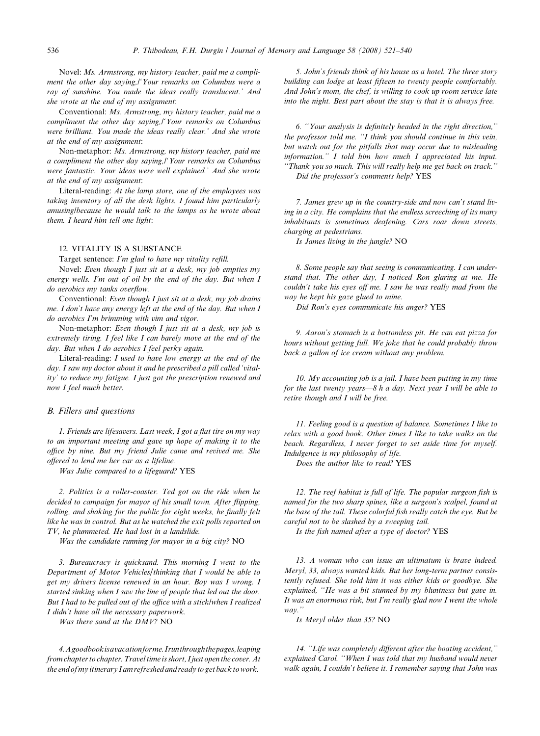Novel: Ms. Armstrong, my history teacher, paid me a compliment the other day saying,/'Your remarks on Columbus were a ray of sunshine. You made the ideas really translucent.' And she wrote at the end of my assignment:

Conventional: Ms. Armstrong, my history teacher, paid me a compliment the other day saying,/'Your remarks on Columbus were brilliant. You made the ideas really clear.' And she wrote at the end of my assignment:

Non-metaphor: Ms. Armstrong, my history teacher, paid me a compliment the other day saying,/'Your remarks on Columbus were fantastic. Your ideas were well explained.' And she wrote at the end of my assignment:

Literal-reading: At the lamp store, one of the employees was taking inventory of all the desk lights. I found him particularly amusing/because he would talk to the lamps as he wrote about them. I heard him tell one light:

# 12. VITALITY IS A SUBSTANCE

Target sentence: I'm glad to have my vitality refill.

Novel: Even though I just sit at a desk, my job empties my energy wells. I'm out of oil by the end of the day. But when I do aerobics my tanks overflow.

Conventional: Even though I just sit at a desk, my job drains me. I don't have any energy left at the end of the day. But when I do aerobics I'm brimming with vim and vigor.

Non-metaphor: Even though I just sit at a desk, my job is extremely tiring. I feel like I can barely move at the end of the day. But when I do aerobics I feel perky again.

Literal-reading: I used to have low energy at the end of the day. I saw my doctor about it and he prescribed a pill called 'vitality' to reduce my fatigue. I just got the prescription renewed and now I feel much better.

#### B. Fillers and questions

1. Friends are lifesavers. Last week, I got a flat tire on my way to an important meeting and gave up hope of making it to the office by nine. But my friend Julie came and revived me. She offered to lend me her car as a lifeline.

Was Julie compared to a lifeguard? YES

2. Politics is a roller-coaster. Ted got on the ride when he decided to campaign for mayor of his small town. After flipping, rolling, and shaking for the public for eight weeks, he finally felt like he was in control. But as he watched the exit polls reported on TV, he plummeted. He had lost in a landslide.

Was the candidate running for mayor in a big city? NO

3. Bureaucracy is quicksand. This morning I went to the Department of Motor Vehicles/thinking that I would be able to get my drivers license renewed in an hour. Boy was I wrong. I started sinking when I saw the line of people that led out the door. But I had to be pulled out of the office with a stick/when I realized I didn't have all the necessary paperwork.

Was there sand at the DMV? NO

4.Agoodbookisavacationforme.Irunthroughthepages,leaping from chapter to chapter. Travel time is short, I just open the cover. At the end of my itinerary I am refreshed and ready to get back to work.

5. John's friends think of his house as a hotel. The three story building can lodge at least fifteen to twenty people comfortably. And John's mom, the chef, is willing to cook up room service late into the night. Best part about the stay is that it is always free.

6. ''Your analysis is definitely headed in the right direction,'' the professor told me. ''I think you should continue in this vein, but watch out for the pitfalls that may occur due to misleading information.'' I told him how much I appreciated his input. ''Thank you so much. This will really help me get back on track.'' Did the professor's comments help? YES

7. James grew up in the country-side and now can't stand living in a city. He complains that the endless screeching of its many inhabitants is sometimes deafening. Cars roar down streets, charging at pedestrians.

Is James living in the jungle? NO

8. Some people say that seeing is communicating. I can understand that. The other day, I noticed Ron glaring at me. He couldn't take his eyes off me. I saw he was really mad from the way he kept his gaze glued to mine.

Did Ron's eyes communicate his anger? YES

9. Aaron's stomach is a bottomless pit. He can eat pizza for hours without getting full. We joke that he could probably throw back a gallon of ice cream without any problem.

10. My accounting job is a jail. I have been putting in my time for the last twenty years—8 h a day. Next year I will be able to retire though and I will be free.

11. Feeling good is a question of balance. Sometimes I like to relax with a good book. Other times I like to take walks on the beach. Regardless, I never forget to set aside time for myself. Indulgence is my philosophy of life.

Does the author like to read? YES

12. The reef habitat is full of life. The popular surgeon fish is named for the two sharp spines, like a surgeon's scalpel, found at the base of the tail. These colorful fish really catch the eye. But be careful not to be slashed by a sweeping tail.

Is the fish named after a type of doctor? YES

13. A woman who can issue an ultimatum is brave indeed. Meryl, 33, always wanted kids. But her long-term partner consistently refused. She told him it was either kids or goodbye. She explained, ''He was a bit stunned by my bluntness but gave in. It was an enormous risk, but I'm really glad now I went the whole way.''

Is Meryl older than 35? NO

14. ''Life was completely different after the boating accident,'' explained Carol. ''When I was told that my husband would never walk again, I couldn't believe it. I remember saying that John was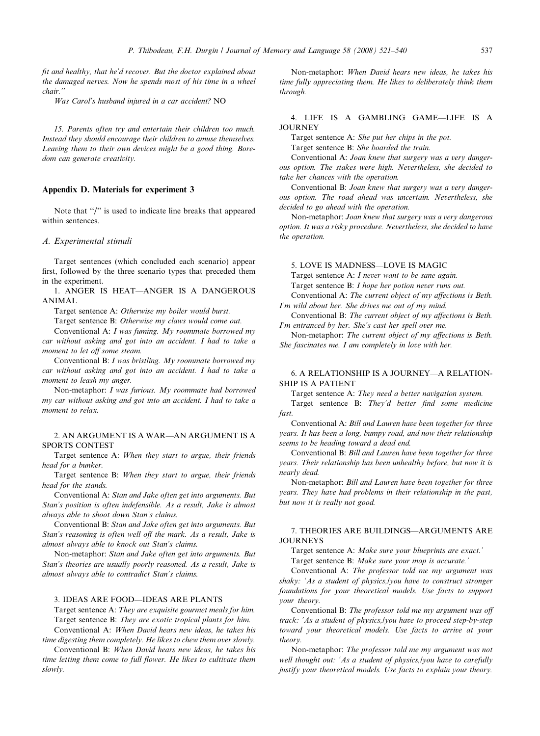fit and healthy, that he'd recover. But the doctor explained about the damaged nerves. Now he spends most of his time in a wheel chair.''

Was Carol's husband injured in a car accident? NO

15. Parents often try and entertain their children too much. Instead they should encourage their children to amuse themselves. Leaving them to their own devices might be a good thing. Boredom can generate creativity.

#### Appendix D. Materials for experiment 3

Note that "/" is used to indicate line breaks that appeared within sentences.

#### A. Experimental stimuli

Target sentences (which concluded each scenario) appear first, followed by the three scenario types that preceded them in the experiment.

1. ANGER IS HEAT—ANGER IS A DANGEROUS ANIMAL

Target sentence A: Otherwise my boiler would burst.

Target sentence B: Otherwise my claws would come out.

Conventional A: I was fuming. My roommate borrowed my car without asking and got into an accident. I had to take a moment to let off some steam.

Conventional B: I was bristling. My roommate borrowed my car without asking and got into an accident. I had to take a moment to leash my anger.

Non-metaphor: I was furious. My roommate had borrowed my car without asking and got into an accident. I had to take a moment to relax.

# 2. AN ARGUMENT IS A WAR—AN ARGUMENT IS A SPORTS CONTEST

Target sentence A: When they start to argue, their friends head for a bunker.

Target sentence B: When they start to argue, their friends head for the stands.

Conventional A: Stan and Jake often get into arguments. But Stan's position is often indefensible. As a result, Jake is almost always able to shoot down Stan's claims.

Conventional B: Stan and Jake often get into arguments. But Stan's reasoning is often well off the mark. As a result, Jake is almost always able to knock out Stan's claims.

Non-metaphor: Stan and Jake often get into arguments. But Stan's theories are usually poorly reasoned. As a result, Jake is almost always able to contradict Stan's claims.

# 3. IDEAS ARE FOOD—IDEAS ARE PLANTS

Target sentence A: They are exquisite gourmet meals for him. Target sentence B: They are exotic tropical plants for him.

Conventional A: When David hears new ideas, he takes his time digesting them completely. He likes to chew them over slowly.

Conventional B: When David hears new ideas, he takes his time letting them come to full flower. He likes to cultivate them slowly.

Non-metaphor: When David hears new ideas, he takes his time fully appreciating them. He likes to deliberately think them through.

#### 4. LIFE IS A GAMBLING GAME—LIFE IS A **JOURNEY**

Target sentence A: She put her chips in the pot.

Target sentence B: She boarded the train.

Conventional A: Joan knew that surgery was a very dangerous option. The stakes were high. Nevertheless, she decided to take her chances with the operation.

Conventional B: Joan knew that surgery was a very dangerous option. The road ahead was uncertain. Nevertheless, she decided to go ahead with the operation.

Non-metaphor: Joan knew that surgery was a very dangerous option. It was a risky procedure. Nevertheless, she decided to have the operation.

# 5. LOVE IS MADNESS—LOVE IS MAGIC

Target sentence A: *I never want to be sane again*.

Target sentence B: I hope her potion never runs out.

Conventional A: The current object of my affections is Beth. I'm wild about her. She drives me out of my mind.

Conventional B: The current object of my affections is Beth. I'm entranced by her. She's cast her spell over me.

Non-metaphor: The current object of my affections is Beth. She fascinates me. I am completely in love with her.

# 6. A RELATIONSHIP IS A JOURNEY—A RELATION-SHIP IS A PATIENT

Target sentence A: They need a better navigation system.

Target sentence B: They'd better find some medicine fast.

Conventional A: Bill and Lauren have been together for three years. It has been a long, bumpy road, and now their relationship seems to be heading toward a dead end.

Conventional B: Bill and Lauren have been together for three years. Their relationship has been unhealthy before, but now it is nearly dead.

Non-metaphor: Bill and Lauren have been together for three years. They have had problems in their relationship in the past, but now it is really not good.

# 7. THEORIES ARE BUILDINGS—ARGUMENTS ARE **JOURNEYS**

Target sentence A: Make sure your blueprints are exact.'

Target sentence B: Make sure your map is accurate.'

Conventional A: The professor told me my argument was shaky: 'As a student of physics,/you have to construct stronger foundations for your theoretical models. Use facts to support your theory.

Conventional B: The professor told me my argument was off track: 'As a student of physics,/you have to proceed step-by-step toward your theoretical models. Use facts to arrive at your theory.

Non-metaphor: The professor told me my argument was not well thought out: 'As a student of physics,/you have to carefully justify your theoretical models. Use facts to explain your theory.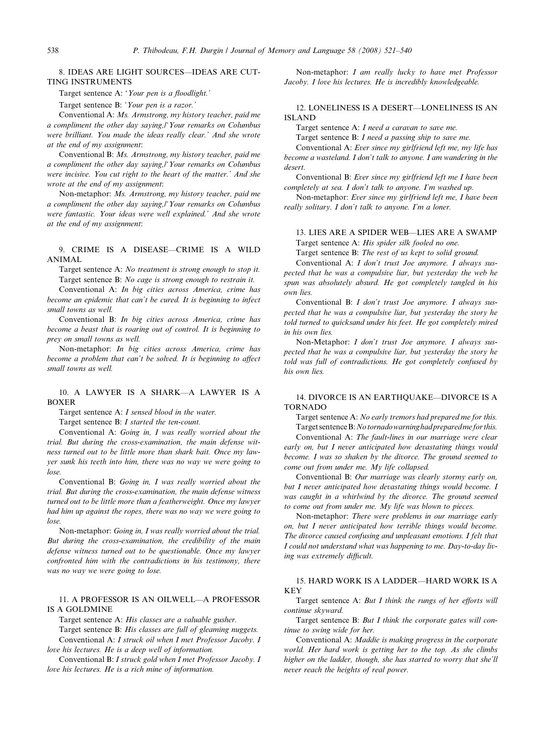8. IDEAS ARE LIGHT SOURCES—IDEAS ARE CUT-TING INSTRUMENTS

Target sentence A: 'Your pen is a floodlight.'

Target sentence B: 'Your pen is a razor.'

Conventional A: Ms. Armstrong, my history teacher, paid me a compliment the other day saying,/'Your remarks on Columbus were brilliant. You made the ideas really clear.' And she wrote at the end of my assignment:

Conventional B: Ms. Armstrong, my history teacher, paid me a compliment the other day saying,/'Your remarks on Columbus were incisive. You cut right to the heart of the matter.' And she wrote at the end of my assignment:

Non-metaphor: Ms. Armstrong, my history teacher, paid me a compliment the other day saying,/'Your remarks on Columbus were fantastic. Your ideas were well explained.' And she wrote at the end of my assignment:

# 9. CRIME IS A DISEASE—CRIME IS A WILD ANIMAL

Target sentence A: No treatment is strong enough to stop it. Target sentence B: No cage is strong enough to restrain it.

Conventional A: In big cities across America, crime has become an epidemic that can't be cured. It is beginning to infect small towns as well.

Conventional B: In big cities across America, crime has become a beast that is roaring out of control. It is beginning to prey on small towns as well.

Non-metaphor: In big cities across America, crime has become a problem that can't be solved. It is beginning to affect small towns as well.

#### 10. A LAWYER IS A SHARK—A LAWYER IS A BOXER

Target sentence A: I sensed blood in the water.

Target sentence B: I started the ten-count.

Conventional A: Going in, I was really worried about the trial. But during the cross-examination, the main defense witness turned out to be little more than shark bait. Once my lawyer sunk his teeth into him, there was no way we were going to lose.

Conventional B: Going in, I was really worried about the trial. But during the cross-examination, the main defense witness turned out to be little more than a featherweight. Once my lawyer had him up against the ropes, there was no way we were going to lose.

Non-metaphor: Going in, I was really worried about the trial. But during the cross-examination, the credibility of the main defense witness turned out to be questionable. Once my lawyer confronted him with the contradictions in his testimony, there was no way we were going to lose.

# 11. A PROFESSOR IS AN OILWELL—A PROFESSOR IS A GOLDMINE

Target sentence A: His classes are a valuable gusher.

Target sentence B: His classes are full of gleaming nuggets. Conventional A: I struck oil when I met Professor Jacoby. I love his lectures. He is a deep well of information.

Conventional B: I struck gold when I met Professor Jacoby. I love his lectures. He is a rich mine of information.

Non-metaphor: I am really lucky to have met Professor Jacoby. I love his lectures. He is incredibly knowledgeable.

### 12. LONELINESS IS A DESERT—LONELINESS IS AN ISLAND

Target sentence A: I need a caravan to save me.

Target sentence B: I need a passing ship to save me.

Conventional A: Ever since my girlfriend left me, my life has become a wasteland. I don't talk to anyone. I am wandering in the desert.

Conventional B: Ever since my girlfriend left me I have been completely at sea. I don't talk to anyone. I'm washed up.

Non-metaphor: Ever since my girlfriend left me, I have been really solitary. I don't talk to anyone. I'm a loner.

# 13. LIES ARE A SPIDER WEB—LIES ARE A SWAMP Target sentence A: His spider silk fooled no one.

Target sentence B: The rest of us kept to solid ground.

Conventional A: I don't trust Joe anymore. I always suspected that he was a compulsive liar, but yesterday the web he spun was absolutely absurd. He got completely tangled in his own lies.

Conventional B: I don't trust Joe anymore. I always suspected that he was a compulsive liar, but yesterday the story he told turned to quicksand under his feet. He got completely mired in his own lies.

Non-Metaphor: I don't trust Joe anymore. I always suspected that he was a compulsive liar, but yesterday the story he told was full of contradictions. He got completely confused by his own lies.

#### 14. DIVORCE IS AN EARTHQUAKE—DIVORCE IS A TORNADO

Target sentence A: No early tremors had prepared me for this. Target sentenceB:No tornadowarning had preparedme for this. Conventional A: The fault-lines in our marriage were clear early on, but I never anticipated how devastating things would become. I was so shaken by the divorce. The ground seemed to come out from under me. My life collapsed.

Conventional B: Our marriage was clearly stormy early on, but I never anticipated how devastating things would become. I was caught in a whirlwind by the divorce. The ground seemed to come out from under me. My life was blown to pieces.

Non-metaphor: There were problems in our marriage early on, but I never anticipated how terrible things would become. The divorce caused confusing and unpleasant emotions. I felt that I could not understand what was happening to me. Day-to-day living was extremely difficult.

## 15. HARD WORK IS A LADDER—HARD WORK IS A **KEY**

Target sentence A: But I think the rungs of her efforts will continue skyward.

Target sentence B: But I think the corporate gates will continue to swing wide for her.

Conventional A: Maddie is making progress in the corporate world. Her hard work is getting her to the top. As she climbs higher on the ladder, though, she has started to worry that she'll never reach the heights of real power.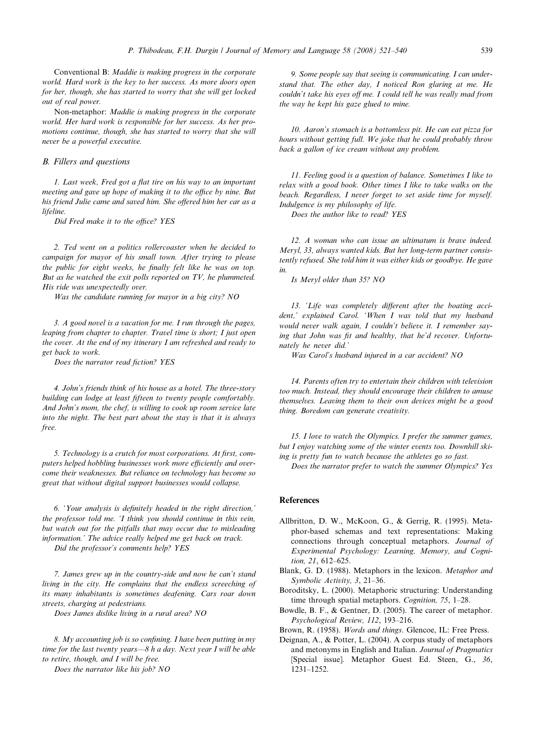<span id="page-18-0"></span>Conventional B: Maddie is making progress in the corporate world. Hard work is the key to her success. As more doors open for her, though, she has started to worry that she will get locked out of real power.

Non-metaphor: Maddie is making progress in the corporate world. Her hard work is responsible for her success. As her promotions continue, though, she has started to worry that she will never be a powerful executive.

## B. Fillers and questions

1. Last week, Fred got a flat tire on his way to an important meeting and gave up hope of making it to the office by nine. But his friend Julie came and saved him. She offered him her car as a lifeline.

Did Fred make it to the office? YES

2. Ted went on a politics rollercoaster when he decided to campaign for mayor of his small town. After trying to please the public for eight weeks, he finally felt like he was on top. But as he watched the exit polls reported on TV, he plummeted. His ride was unexpectedly over.

Was the candidate running for mayor in a big city? NO

3. A good novel is a vacation for me. I run through the pages, leaping from chapter to chapter. Travel time is short; I just open the cover. At the end of my itinerary I am refreshed and ready to get back to work.

Does the narrator read fiction? YES

4. John's friends think of his house as a hotel. The three-story building can lodge at least fifteen to twenty people comfortably. And John's mom, the chef, is willing to cook up room service late into the night. The best part about the stay is that it is always free.

5. Technology is a crutch for most corporations. At first, computers helped hobbling businesses work more efficiently and overcome their weaknesses. But reliance on technology has become so great that without digital support businesses would collapse.

6. 'Your analysis is definitely headed in the right direction,' the professor told me. 'I think you should continue in this vein, but watch out for the pitfalls that may occur due to misleading information.' The advice really helped me get back on track. Did the professor's comments help? YES

7. James grew up in the country-side and now he can't stand living in the city. He complains that the endless screeching of its many inhabitants is sometimes deafening. Cars roar down streets, charging at pedestrians.

Does James dislike living in a rural area? NO

8. My accounting job is so confining. I have been putting in my time for the last twenty years—8 h a day. Next year I will be able to retire, though, and I will be free.

Does the narrator like his job? NO

9. Some people say that seeing is communicating. I can understand that. The other day, I noticed Ron glaring at me. He couldn't take his eyes off me. I could tell he was really mad from the way he kept his gaze glued to mine.

10. Aaron's stomach is a bottomless pit. He can eat pizza for hours without getting full. We joke that he could probably throw back a gallon of ice cream without any problem.

11. Feeling good is a question of balance. Sometimes I like to relax with a good book. Other times I like to take walks on the beach. Regardless, I never forget to set aside time for myself. Indulgence is my philosophy of life.

Does the author like to read? YES

12. A woman who can issue an ultimatum is brave indeed. Meryl, 33, always wanted kids. But her long-term partner consistently refused. She told him it was either kids or goodbye. He gave in.

Is Meryl older than 35? NO

13. 'Life was completely different after the boating accident,' explained Carol. 'When I was told that my husband would never walk again, I couldn't believe it. I remember saying that John was fit and healthy, that he'd recover. Unfortunately he never did.'

Was Carol's husband injured in a car accident? NO

14. Parents often try to entertain their children with television too much. Instead, they should encourage their children to amuse themselves. Leaving them to their own devices might be a good thing. Boredom can generate creativity.

15. I love to watch the Olympics. I prefer the summer games, but I enjoy watching some of the winter events too. Downhill skiing is pretty fun to watch because the athletes go so fast.

Does the narrator prefer to watch the summer Olympics? Yes

# **References**

- Allbritton, D. W., McKoon, G., & Gerrig, R. (1995). Metaphor-based schemas and text representations: Making connections through conceptual metaphors. Journal of Experimental Psychology: Learning, Memory, and Cognition, 21, 612–625.
- Blank, G. D. (1988). Metaphors in the lexicon. Metaphor and Symbolic Activity, 3, 21–36.
- Boroditsky, L. (2000). Metaphoric structuring: Understanding time through spatial metaphors. Cognition, 75, 1–28.
- Bowdle, B. F., & Gentner, D. (2005). The career of metaphor. Psychological Review, 112, 193–216.
- Brown, R. (1958). Words and things. Glencoe, IL: Free Press.
- Deignan, A., & Potter, L. (2004). A corpus study of metaphors and metonyms in English and Italian. Journal of Pragmatics [Special issue]. Metaphor Guest Ed. Steen, G., 36, 1231–1252.